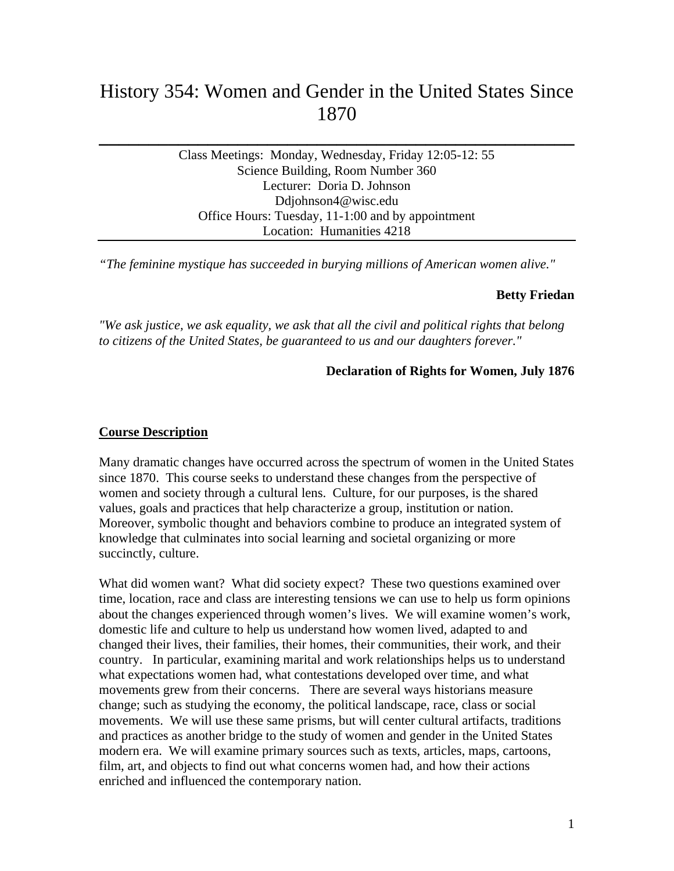# History 354: Women and Gender in the United States Since 1870

**\_\_\_\_\_\_\_\_\_\_\_\_\_\_\_\_\_\_\_\_\_\_\_\_\_\_\_\_\_\_\_\_\_\_\_\_\_\_\_\_\_\_\_\_\_\_\_\_** 

Class Meetings: Monday, Wednesday, Friday 12:05-12: 55 Science Building, Room Number 360 Lecturer: Doria D. Johnson Ddjohnson4@wisc.edu Office Hours: Tuesday, 11-1:00 and by appointment Location: Humanities 4218

*"The feminine mystique has succeeded in burying millions of American women alive."*

#### **Betty Friedan**

*"We ask justice, we ask equality, we ask that all the civil and political rights that belong to citizens of the United States, be guaranteed to us and our daughters forever."*

#### **Declaration of Rights for Women, July 1876**

#### **Course Description**

Many dramatic changes have occurred across the spectrum of women in the United States since 1870. This course seeks to understand these changes from the perspective of women and society through a cultural lens. Culture, for our purposes, is the shared values, goals and practices that help characterize a group, institution or nation. Moreover, symbolic thought and behaviors combine to produce an integrated system of knowledge that culminates into social learning and societal organizing or more succinctly, culture.

What did women want? What did society expect? These two questions examined over time, location, race and class are interesting tensions we can use to help us form opinions about the changes experienced through women's lives. We will examine women's work, domestic life and culture to help us understand how women lived, adapted to and changed their lives, their families, their homes, their communities, their work, and their country. In particular, examining marital and work relationships helps us to understand what expectations women had, what contestations developed over time, and what movements grew from their concerns. There are several ways historians measure change; such as studying the economy, the political landscape, race, class or social movements. We will use these same prisms, but will center cultural artifacts, traditions and practices as another bridge to the study of women and gender in the United States modern era. We will examine primary sources such as texts, articles, maps, cartoons, film, art, and objects to find out what concerns women had, and how their actions enriched and influenced the contemporary nation.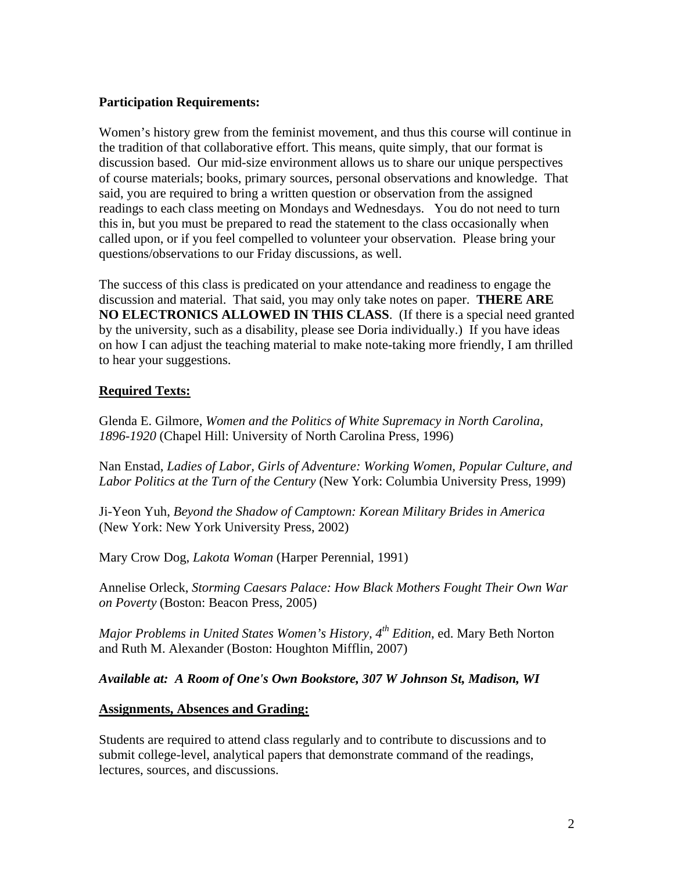## **Participation Requirements:**

Women's history grew from the feminist movement, and thus this course will continue in the tradition of that collaborative effort. This means, quite simply, that our format is discussion based. Our mid-size environment allows us to share our unique perspectives of course materials; books, primary sources, personal observations and knowledge. That said, you are required to bring a written question or observation from the assigned readings to each class meeting on Mondays and Wednesdays. You do not need to turn this in, but you must be prepared to read the statement to the class occasionally when called upon, or if you feel compelled to volunteer your observation. Please bring your questions/observations to our Friday discussions, as well.

The success of this class is predicated on your attendance and readiness to engage the discussion and material. That said, you may only take notes on paper. **THERE ARE NO ELECTRONICS ALLOWED IN THIS CLASS**. (If there is a special need granted by the university, such as a disability, please see Doria individually.) If you have ideas on how I can adjust the teaching material to make note-taking more friendly, I am thrilled to hear your suggestions.

#### **Required Texts:**

Glenda E. Gilmore, *Women and the Politics of White Supremacy in North Carolina, 1896-1920* (Chapel Hill: University of North Carolina Press, 1996)

Nan Enstad, *Ladies of Labor, Girls of Adventure: Working Women, Popular Culture, and Labor Politics at the Turn of the Century* (New York: Columbia University Press, 1999)

Ji-Yeon Yuh, *Beyond the Shadow of Camptown: Korean Military Brides in America* (New York: New York University Press, 2002)

Mary Crow Dog, *Lakota Woman* (Harper Perennial, 1991)

Annelise Orleck, *Storming Caesars Palace: How Black Mothers Fought Their Own War on Poverty* (Boston: Beacon Press, 2005)

*Major Problems in United States Women's History, 4th Edition*, ed. Mary Beth Norton and Ruth M. Alexander (Boston: Houghton Mifflin, 2007)

*Available at: A Room of One's Own Bookstore, 307 W Johnson St, Madison, WI* 

#### **Assignments, Absences and Grading:**

Students are required to attend class regularly and to contribute to discussions and to submit college-level, analytical papers that demonstrate command of the readings, lectures, sources, and discussions.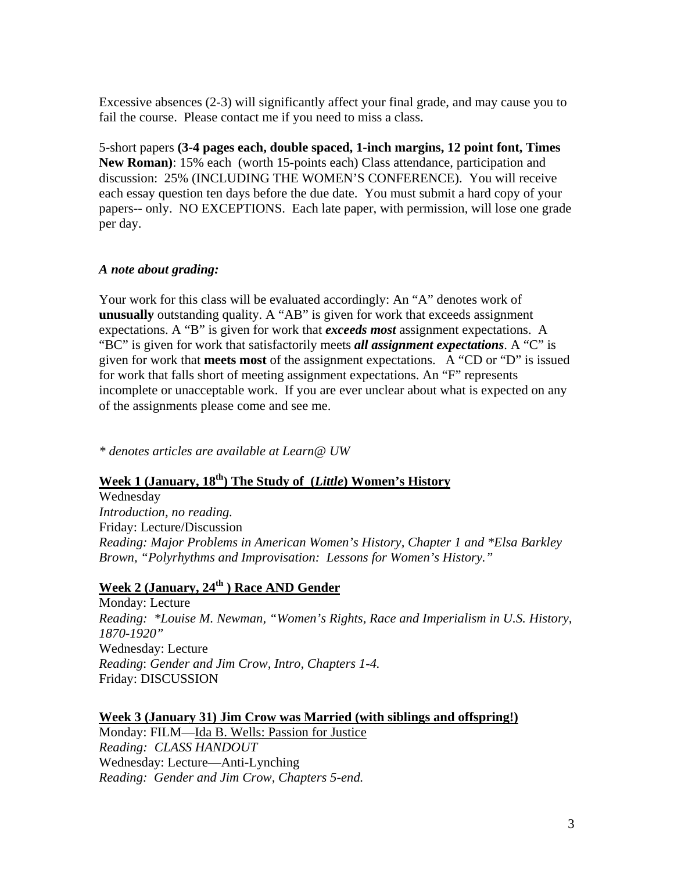Excessive absences (2-3) will significantly affect your final grade, and may cause you to fail the course. Please contact me if you need to miss a class.

5-short papers **(3-4 pages each, double spaced, 1-inch margins, 12 point font, Times New Roman)**: 15% each (worth 15-points each) Class attendance, participation and discussion: 25% (INCLUDING THE WOMEN'S CONFERENCE). You will receive each essay question ten days before the due date. You must submit a hard copy of your papers-- only. NO EXCEPTIONS. Each late paper, with permission, will lose one grade per day.

## *A note about grading:*

Your work for this class will be evaluated accordingly: An "A" denotes work of **unusually** outstanding quality. A "AB" is given for work that exceeds assignment expectations. A "B" is given for work that *exceeds most* assignment expectations. A "BC" is given for work that satisfactorily meets *all assignment expectations*. A "C" is given for work that **meets most** of the assignment expectations. A "CD or "D" is issued for work that falls short of meeting assignment expectations. An "F" represents incomplete or unacceptable work. If you are ever unclear about what is expected on any of the assignments please come and see me.

*\* denotes articles are available at Learn@ UW* 

# **Week 1 (January, 18th) The Study of (***Little***) Women's History**

Wednesday *Introduction, no reading.*  Friday: Lecture/Discussion *Reading: Major Problems in American Women's History, Chapter 1 and \*Elsa Barkley Brown, "Polyrhythms and Improvisation: Lessons for Women's History."* 

# **Week 2 (January, 24th ) Race AND Gender**

Monday: Lecture *Reading: \*Louise M. Newman, "Women's Rights, Race and Imperialism in U.S. History, 1870-1920"*  Wednesday: Lecture *Reading*: *Gender and Jim Crow, Intro, Chapters 1-4.*  Friday: DISCUSSION

## **Week 3 (January 31) Jim Crow was Married (with siblings and offspring!)**

Monday: FILM—Ida B. Wells: Passion for Justice *Reading: CLASS HANDOUT*  Wednesday: Lecture—Anti-Lynching *Reading: Gender and Jim Crow, Chapters 5-end.*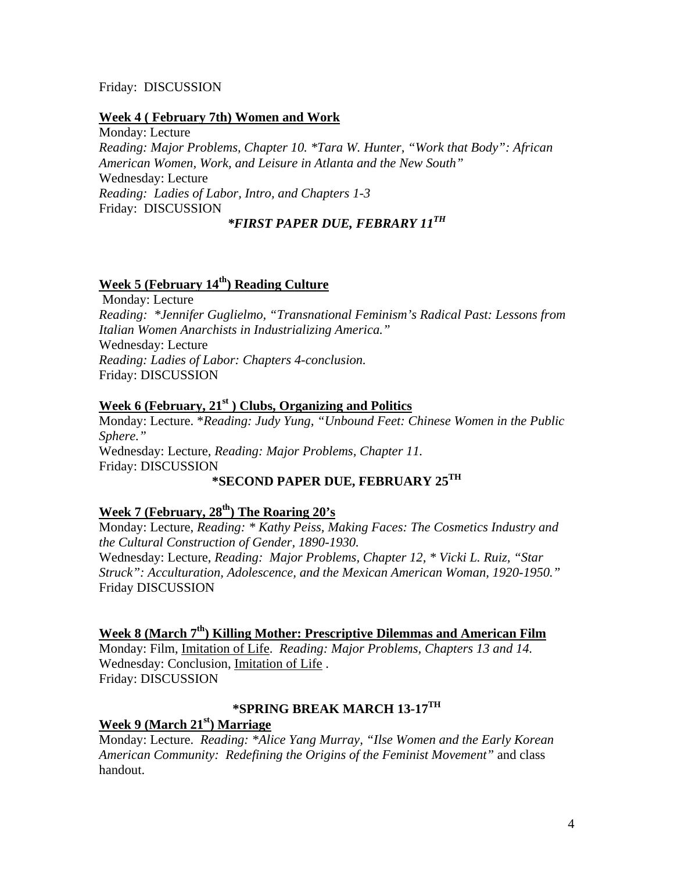#### Friday: DISCUSSION

#### **Week 4 ( February 7th) Women and Work**

Monday: Lecture *Reading: Major Problems, Chapter 10. \*Tara W. Hunter, "Work that Body": African American Women, Work, and Leisure in Atlanta and the New South"*  Wednesday: Lecture *Reading: Ladies of Labor, Intro, and Chapters 1-3*  Friday: DISCUSSION *\*FIRST PAPER DUE, FEBRARY 11TH*

## **Week 5 (February 14<sup>th</sup>) Reading Culture**

 Monday: Lecture *Reading: \*Jennifer Guglielmo, "Transnational Feminism's Radical Past: Lessons from Italian Women Anarchists in Industrializing America."* Wednesday: Lecture *Reading: Ladies of Labor: Chapters 4-conclusion.*  Friday: DISCUSSION

#### Week 6 (February, 21<sup>st</sup>) Clubs, Organizing and Politics

Monday: Lecture. \**Reading: Judy Yung, "Unbound Feet: Chinese Women in the Public Sphere."*  Wednesday: Lecture, *Reading: Major Problems, Chapter 11.*  Friday: DISCUSSION

# **\*SECOND PAPER DUE, FEBRUARY 25TH**

# Week 7 (February, 28<sup>th</sup>) The Roaring 20's

Monday: Lecture, *Reading: \* Kathy Peiss, Making Faces: The Cosmetics Industry and the Cultural Construction of Gender, 1890-1930.* Wednesday: Lecture, *Reading: Major Problems, Chapter 12, \* Vicki L. Ruiz, "Star Struck": Acculturation, Adolescence, and the Mexican American Woman, 1920-1950."*  Friday DISCUSSION

#### **Week 8 (March 7th) Killing Mother: Prescriptive Dilemmas and American Film**

Monday: Film, Imitation of Life. *Reading: Major Problems, Chapters 13 and 14.*  Wednesday: Conclusion, Imitation of Life . Friday: DISCUSSION

## **\*SPRING BREAK MARCH 13-17TH**

**Week 9 (March 21st) Marriage** 

Monday: Lecture. *Reading: \*Alice Yang Murray, "Ilse Women and the Early Korean American Community: Redefining the Origins of the Feminist Movement"* and class handout.